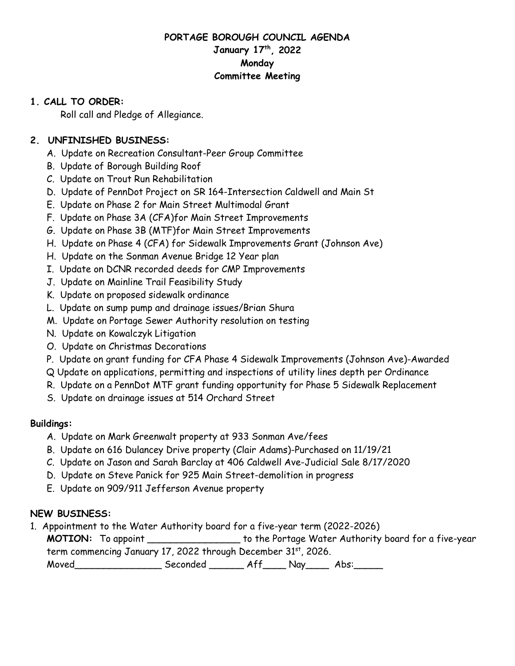## **PORTAGE BOROUGH COUNCIL AGENDA January 17th, 2022 Monday Committee Meeting**

#### **1. CALL TO ORDER:**

Roll call and Pledge of Allegiance.

## **2. UNFINISHED BUSINESS:**

- A. Update on Recreation Consultant-Peer Group Committee
- B. Update of Borough Building Roof
- C. Update on Trout Run Rehabilitation
- D. Update of PennDot Project on SR 164-Intersection Caldwell and Main St
- E. Update on Phase 2 for Main Street Multimodal Grant
- F. Update on Phase 3A (CFA)for Main Street Improvements
- G. Update on Phase 3B (MTF)for Main Street Improvements
- H. Update on Phase 4 (CFA) for Sidewalk Improvements Grant (Johnson Ave)
- H. Update on the Sonman Avenue Bridge 12 Year plan
- I. Update on DCNR recorded deeds for CMP Improvements
- J. Update on Mainline Trail Feasibility Study
- K. Update on proposed sidewalk ordinance
- L. Update on sump pump and drainage issues/Brian Shura
- M. Update on Portage Sewer Authority resolution on testing
- N. Update on Kowalczyk Litigation
- O. Update on Christmas Decorations
- P. Update on grant funding for CFA Phase 4 Sidewalk Improvements (Johnson Ave)-Awarded
- Q Update on applications, permitting and inspections of utility lines depth per Ordinance
- R. Update on a PennDot MTF grant funding opportunity for Phase 5 Sidewalk Replacement
- S. Update on drainage issues at 514 Orchard Street

## **Buildings:**

- A. Update on Mark Greenwalt property at 933 Sonman Ave/fees
- B. Update on 616 Dulancey Drive property (Clair Adams)-Purchased on 11/19/21
- C. Update on Jason and Sarah Barclay at 406 Caldwell Ave-Judicial Sale 8/17/2020
- D. Update on Steve Panick for 925 Main Street-demolition in progress
- E. Update on 909/911 Jefferson Avenue property

# **NEW BUSINESS:**

1. Appointment to the Water Authority board for a five-year term (2022-2026)

**MOTION:** To appoint \_\_\_\_\_\_\_\_\_\_\_\_\_\_\_\_ to the Portage Water Authority board for a five-year term commencing January 17, 2022 through December 31st, 2026.

Moved Seconded Aff Nay Abs: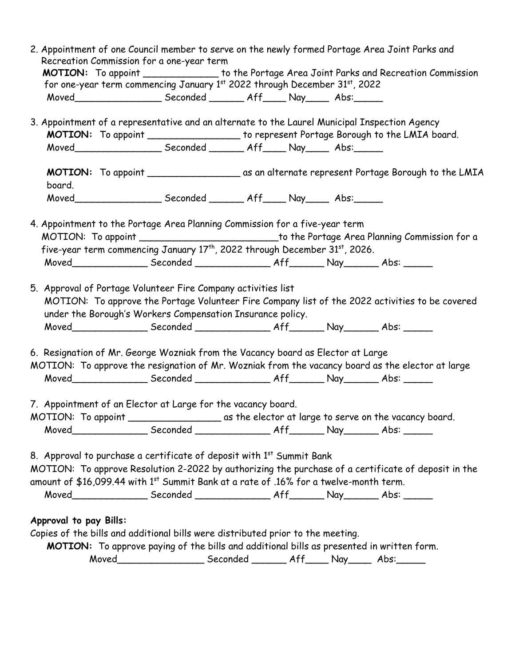|                        | 2. Appointment of one Council member to serve on the newly formed Portage Area Joint Parks and                                                                                                                                 |                                                                                                                                                                                         |  |  |  |  |
|------------------------|--------------------------------------------------------------------------------------------------------------------------------------------------------------------------------------------------------------------------------|-----------------------------------------------------------------------------------------------------------------------------------------------------------------------------------------|--|--|--|--|
|                        | Recreation Commission for a one-year term<br>MOTION: To appoint ________________ to the Portage Area Joint Parks and Recreation Commission                                                                                     |                                                                                                                                                                                         |  |  |  |  |
|                        | for one-year term commencing January 1st 2022 through December 31st, 2022                                                                                                                                                      |                                                                                                                                                                                         |  |  |  |  |
|                        | Moved_______________________Seconded _________ Aff______ Nay______ Abs:_______                                                                                                                                                 |                                                                                                                                                                                         |  |  |  |  |
|                        |                                                                                                                                                                                                                                |                                                                                                                                                                                         |  |  |  |  |
|                        |                                                                                                                                                                                                                                | 3. Appointment of a representative and an alternate to the Laurel Municipal Inspection Agency<br>MOTION: To appoint ___________________ to represent Portage Borough to the LMIA board. |  |  |  |  |
|                        | Moved________________________Seconded _________ Aff______ Nay______ Abs:_______                                                                                                                                                |                                                                                                                                                                                         |  |  |  |  |
|                        |                                                                                                                                                                                                                                |                                                                                                                                                                                         |  |  |  |  |
| board.                 |                                                                                                                                                                                                                                |                                                                                                                                                                                         |  |  |  |  |
|                        | Moved________________________Seconded _________ Aff______ Nay______ Abs:_______                                                                                                                                                |                                                                                                                                                                                         |  |  |  |  |
|                        |                                                                                                                                                                                                                                |                                                                                                                                                                                         |  |  |  |  |
|                        | 4. Appointment to the Portage Area Planning Commission for a five-year term<br>MOTION: To appoint _____________________________to the Portage Area Planning Commission for a                                                   |                                                                                                                                                                                         |  |  |  |  |
|                        | five-year term commencing January 17 <sup>th</sup> , 2022 through December 31 <sup>st</sup> , 2026.                                                                                                                            |                                                                                                                                                                                         |  |  |  |  |
|                        |                                                                                                                                                                                                                                |                                                                                                                                                                                         |  |  |  |  |
|                        | 5. Approval of Portage Volunteer Fire Company activities list<br>MOTION: To approve the Portage Volunteer Fire Company list of the 2022 activities to be covered<br>under the Borough's Workers Compensation Insurance policy. |                                                                                                                                                                                         |  |  |  |  |
|                        |                                                                                                                                                                                                                                |                                                                                                                                                                                         |  |  |  |  |
|                        | 6. Resignation of Mr. George Wozniak from the Vacancy board as Elector at Large                                                                                                                                                |                                                                                                                                                                                         |  |  |  |  |
|                        | MOTION: To approve the resignation of Mr. Wozniak from the vacancy board as the elector at large                                                                                                                               |                                                                                                                                                                                         |  |  |  |  |
|                        |                                                                                                                                                                                                                                |                                                                                                                                                                                         |  |  |  |  |
|                        | 7. Appointment of an Elector at Large for the vacancy board.                                                                                                                                                                   |                                                                                                                                                                                         |  |  |  |  |
|                        |                                                                                                                                                                                                                                |                                                                                                                                                                                         |  |  |  |  |
|                        |                                                                                                                                                                                                                                |                                                                                                                                                                                         |  |  |  |  |
|                        | 8. Approval to purchase a certificate of deposit with 1st Summit Bank                                                                                                                                                          |                                                                                                                                                                                         |  |  |  |  |
|                        | MOTION: To approve Resolution 2-2022 by authorizing the purchase of a certificate of deposit in the                                                                                                                            |                                                                                                                                                                                         |  |  |  |  |
|                        | amount of \$16,099.44 with 1st Summit Bank at a rate of .16% for a twelve-month term.                                                                                                                                          |                                                                                                                                                                                         |  |  |  |  |
|                        |                                                                                                                                                                                                                                |                                                                                                                                                                                         |  |  |  |  |
|                        |                                                                                                                                                                                                                                |                                                                                                                                                                                         |  |  |  |  |
| Approval to pay Bills: |                                                                                                                                                                                                                                |                                                                                                                                                                                         |  |  |  |  |
|                        | Copies of the bills and additional bills were distributed prior to the meeting.                                                                                                                                                |                                                                                                                                                                                         |  |  |  |  |
|                        | MOTION: To approve paying of the bills and additional bills as presented in written form.<br>Moved________________________Seconded _________ Aff______ Nay______ Abs:________                                                  |                                                                                                                                                                                         |  |  |  |  |
|                        |                                                                                                                                                                                                                                |                                                                                                                                                                                         |  |  |  |  |